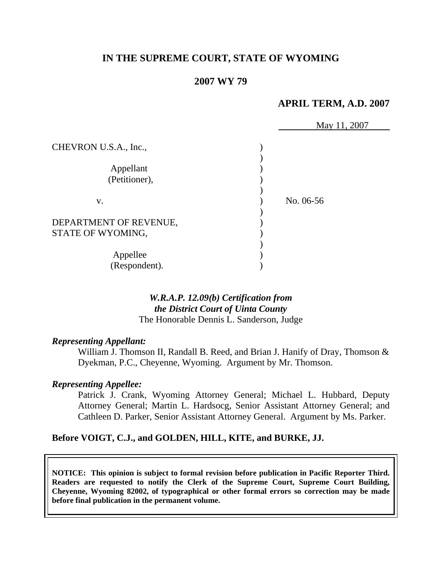# **IN THE SUPREME COURT, STATE OF WYOMING**

## **2007 WY 79**

#### **APRIL TERM, A.D. 2007**

|                        | May 11, 2007 |
|------------------------|--------------|
| CHEVRON U.S.A., Inc.,  |              |
|                        |              |
| Appellant              |              |
| (Petitioner),          |              |
|                        |              |
| V.                     | No. 06-56    |
|                        |              |
| DEPARTMENT OF REVENUE, |              |
| STATE OF WYOMING,      |              |
|                        |              |
| Appellee               |              |
| (Respondent).          |              |

#### *W.R.A.P. 12.09(b) Certification from the District Court of Uinta County* The Honorable Dennis L. Sanderson, Judge

#### *Representing Appellant:*

William J. Thomson II, Randall B. Reed, and Brian J. Hanify of Dray, Thomson & Dyekman, P.C., Cheyenne, Wyoming. Argument by Mr. Thomson.

#### *Representing Appellee:*

 Patrick J. Crank, Wyoming Attorney General; Michael L. Hubbard, Deputy Attorney General; Martin L. Hardsocg, Senior Assistant Attorney General; and Cathleen D. Parker, Senior Assistant Attorney General. Argument by Ms. Parker.

#### **Before VOIGT, C.J., and GOLDEN, HILL, KITE, and BURKE, JJ.**

**NOTICE: This opinion is subject to formal revision before publication in Pacific Reporter Third. Readers are requested to notify the Clerk of the Supreme Court, Supreme Court Building, Cheyenne, Wyoming 82002, of typographical or other formal errors so correction may be made before final publication in the permanent volume.**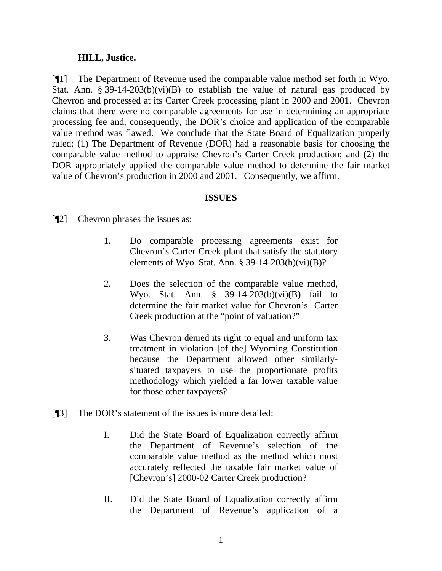## **HILL, Justice.**

[¶1] The Department of Revenue used the comparable value method set forth in Wyo. Stat. Ann. § 39-14-203(b)(vi)(B) to establish the value of natural gas produced by Chevron and processed at its Carter Creek processing plant in 2000 and 2001. Chevron claims that there were no comparable agreements for use in determining an appropriate processing fee and, consequently, the DOR's choice and application of the comparable value method was flawed. We conclude that the State Board of Equalization properly ruled: (1) The Department of Revenue (DOR) had a reasonable basis for choosing the comparable value method to appraise Chevron's Carter Creek production; and (2) the DOR appropriately applied the comparable value method to determine the fair market value of Chevron's production in 2000 and 2001. Consequently, we affirm.

#### **ISSUES**

[¶2] Chevron phrases the issues as:

- 1. Do comparable processing agreements exist for Chevron's Carter Creek plant that satisfy the statutory elements of Wyo. Stat. Ann. § 39-14-203(b)(vi)(B)?
- 2. Does the selection of the comparable value method, Wyo. Stat. Ann. § 39-14-203(b)(vi)(B) fail to determine the fair market value for Chevron's Carter Creek production at the "point of valuation?"
- 3. Was Chevron denied its right to equal and uniform tax treatment in violation [of the] Wyoming Constitution because the Department allowed other similarlysituated taxpayers to use the proportionate profits methodology which yielded a far lower taxable value for those other taxpayers?
- [¶3] The DOR's statement of the issues is more detailed:
	- I. Did the State Board of Equalization correctly affirm the Department of Revenue's selection of the comparable value method as the method which most accurately reflected the taxable fair market value of [Chevron's] 2000-02 Carter Creek production?
	- II. Did the State Board of Equalization correctly affirm the Department of Revenue's application of a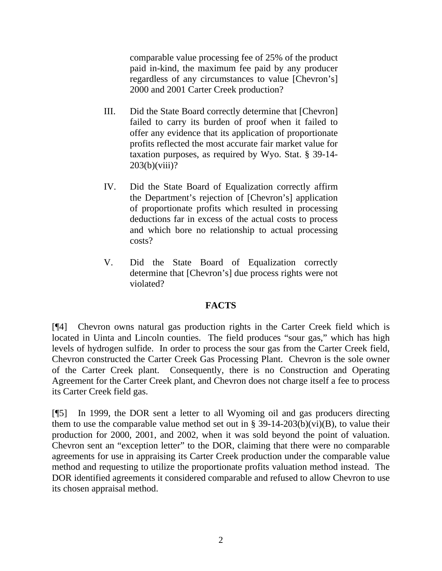comparable value processing fee of 25% of the product paid in-kind, the maximum fee paid by any producer regardless of any circumstances to value [Chevron's] 2000 and 2001 Carter Creek production?

- III. Did the State Board correctly determine that [Chevron] failed to carry its burden of proof when it failed to offer any evidence that its application of proportionate profits reflected the most accurate fair market value for taxation purposes, as required by Wyo. Stat. § 39-14-  $203(b)(viii)?$
- IV. Did the State Board of Equalization correctly affirm the Department's rejection of [Chevron's] application of proportionate profits which resulted in processing deductions far in excess of the actual costs to process and which bore no relationship to actual processing costs?
- V. Did the State Board of Equalization correctly determine that [Chevron's] due process rights were not violated?

# **FACTS**

[¶4] Chevron owns natural gas production rights in the Carter Creek field which is located in Uinta and Lincoln counties. The field produces "sour gas," which has high levels of hydrogen sulfide. In order to process the sour gas from the Carter Creek field, Chevron constructed the Carter Creek Gas Processing Plant. Chevron is the sole owner of the Carter Creek plant. Consequently, there is no Construction and Operating Agreement for the Carter Creek plant, and Chevron does not charge itself a fee to process its Carter Creek field gas.

[¶5] In 1999, the DOR sent a letter to all Wyoming oil and gas producers directing them to use the comparable value method set out in  $\S 39-14-203(b)(vi)(B)$ , to value their production for 2000, 2001, and 2002, when it was sold beyond the point of valuation. Chevron sent an "exception letter" to the DOR, claiming that there were no comparable agreements for use in appraising its Carter Creek production under the comparable value method and requesting to utilize the proportionate profits valuation method instead. The DOR identified agreements it considered comparable and refused to allow Chevron to use its chosen appraisal method.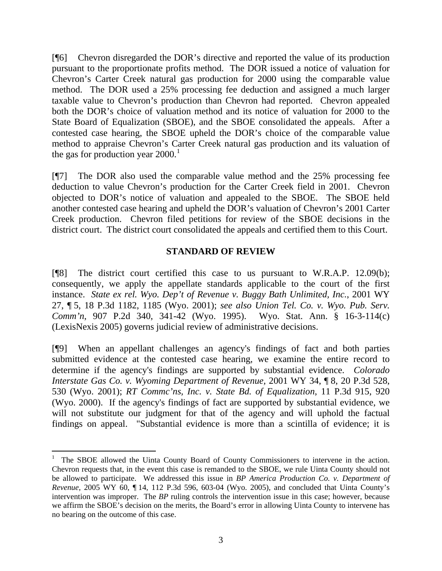[¶6] Chevron disregarded the DOR's directive and reported the value of its production pursuant to the proportionate profits method. The DOR issued a notice of valuation for Chevron's Carter Creek natural gas production for 2000 using the comparable value method. The DOR used a 25% processing fee deduction and assigned a much larger taxable value to Chevron's production than Chevron had reported. Chevron appealed both the DOR's choice of valuation method and its notice of valuation for 2000 to the State Board of Equalization (SBOE), and the SBOE consolidated the appeals. After a contested case hearing, the SBOE upheld the DOR's choice of the comparable value method to appraise Chevron's Carter Creek natural gas production and its valuation of the gas for production year  $2000$ .<sup>[1](#page-3-0)</sup>

[¶7] The DOR also used the comparable value method and the 25% processing fee deduction to value Chevron's production for the Carter Creek field in 2001. Chevron objected to DOR's notice of valuation and appealed to the SBOE. The SBOE held another contested case hearing and upheld the DOR's valuation of Chevron's 2001 Carter Creek production. Chevron filed petitions for review of the SBOE decisions in the district court. The district court consolidated the appeals and certified them to this Court.

## **STANDARD OF REVIEW**

[¶8] The district court certified this case to us pursuant to W.R.A.P. 12.09(b); consequently, we apply the appellate standards applicable to the court of the first instance. *State ex rel. Wyo. Dep't of Revenue v. Buggy Bath Unlimited, Inc.*, 2001 WY 27, ¶ 5, 18 P.3d 1182, 1185 (Wyo. 2001); *see also Union Tel. Co. v. Wyo. Pub. Serv. Comm'n*, 907 P.2d 340, 341-42 (Wyo. 1995). Wyo. Stat. Ann. § 16-3-114(c) (LexisNexis 2005) governs judicial review of administrative decisions.

[¶9] When an appellant challenges an agency's findings of fact and both parties submitted evidence at the contested case hearing, we examine the entire record to determine if the agency's findings are supported by substantial evidence. *Colorado Interstate Gas Co. v. Wyoming Department of Revenue,* 2001 WY 34, ¶ 8, 20 P.3d 528, 530 (Wyo. 2001); *RT Commc'ns, Inc. v. State Bd. of Equalization*, 11 P.3d 915, 920 (Wyo. 2000). If the agency's findings of fact are supported by substantial evidence, we will not substitute our judgment for that of the agency and will uphold the factual findings on appeal. "Substantial evidence is more than a scintilla of evidence; it is

<span id="page-3-0"></span><sup>1</sup> The SBOE allowed the Uinta County Board of County Commissioners to intervene in the action. Chevron requests that, in the event this case is remanded to the SBOE, we rule Uinta County should not be allowed to participate. We addressed this issue in *BP America Production Co. v. Department of Revenue,* 2005 WY 60, ¶ 14, 112 P.3d 596, 603-04 (Wyo. 2005), and concluded that Uinta County's intervention was improper. The *BP* ruling controls the intervention issue in this case; however, because we affirm the SBOE's decision on the merits, the Board's error in allowing Uinta County to intervene has no bearing on the outcome of this case.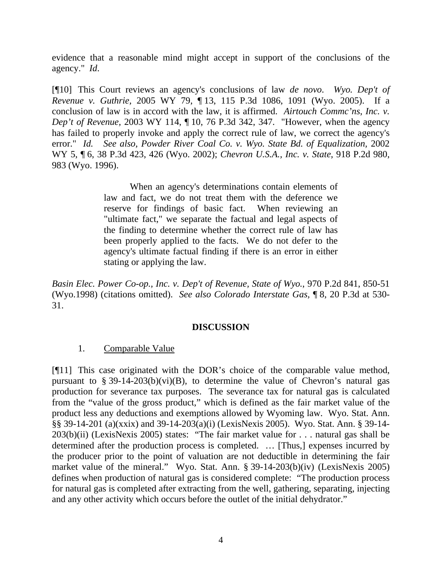evidence that a reasonable mind might accept in support of the conclusions of the agency." *Id*.

[¶10] This Court reviews an agency's conclusions of law *de novo*. *Wyo. Dep't of Revenue v. Guthrie,* 2005 WY 79, ¶ 13, 115 P.3d 1086, 1091 (Wyo. 2005). If a conclusion of law is in accord with the law, it is affirmed. *Airtouch Commc'ns*, *Inc. v. Dep't of Revenue,* 2003 WY 114, ¶ 10, 76 P.3d 342, 347. "However, when the agency has failed to properly invoke and apply the correct rule of law, we correct the agency's error." *Id. See also, Powder River Coal Co. v. Wyo. State Bd. of Equalization,* 2002 WY 5, ¶ 6, 38 P.3d 423, 426 (Wyo. 2002); *Chevron U.S.A., Inc. v. State*, 918 P.2d 980, 983 (Wyo. 1996).

> When an agency's determinations contain elements of law and fact, we do not treat them with the deference we reserve for findings of basic fact. When reviewing an "ultimate fact," we separate the factual and legal aspects of the finding to determine whether the correct rule of law has been properly applied to the facts. We do not defer to the agency's ultimate factual finding if there is an error in either stating or applying the law.

*Basin Elec. Power Co-op., Inc. v. Dep't of Revenue, State of Wyo.*, 970 P.2d 841, 850-51 (Wyo.1998) (citations omitted). *See also Colorado Interstate Gas,* ¶ 8, 20 P.3d at 530- 31.

## **DISCUSSION**

## 1. Comparable Value

[¶11] This case originated with the DOR's choice of the comparable value method, pursuant to § 39-14-203(b)(vi)(B), to determine the value of Chevron's natural gas production for severance tax purposes. The severance tax for natural gas is calculated from the "value of the gross product," which is defined as the fair market value of the product less any deductions and exemptions allowed by Wyoming law. Wyo. Stat. Ann. §§ 39-14-201 (a)(xxix) and 39-14-203(a)(i) (LexisNexis 2005). Wyo. Stat. Ann. § 39-14- 203(b)(ii) (LexisNexis 2005) states: "The fair market value for . . . natural gas shall be determined after the production process is completed. … [Thus,] expenses incurred by the producer prior to the point of valuation are not deductible in determining the fair market value of the mineral." Wyo. Stat. Ann. § 39-14-203(b)(iv) (LexisNexis 2005) defines when production of natural gas is considered complete: "The production process for natural gas is completed after extracting from the well, gathering, separating, injecting and any other activity which occurs before the outlet of the initial dehydrator."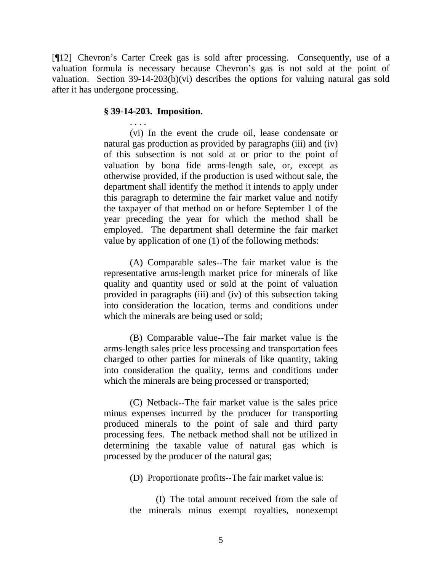[¶12] Chevron's Carter Creek gas is sold after processing. Consequently, use of a valuation formula is necessary because Chevron's gas is not sold at the point of valuation. Section 39-14-203(b)(vi) describes the options for valuing natural gas sold after it has undergone processing.

#### **§ 39-14-203. Imposition.**

 . . . . (vi) In the event the crude oil, lease condensate or natural gas production as provided by paragraphs (iii) and (iv) of this subsection is not sold at or prior to the point of valuation by bona fide arms-length sale, or, except as otherwise provided, if the production is used without sale, the department shall identify the method it intends to apply under this paragraph to determine the fair market value and notify the taxpayer of that method on or before September 1 of the year preceding the year for which the method shall be employed. The department shall determine the fair market value by application of one (1) of the following methods:

 (A) Comparable sales--The fair market value is the representative arms-length market price for minerals of like quality and quantity used or sold at the point of valuation provided in paragraphs (iii) and (iv) of this subsection taking into consideration the location, terms and conditions under which the minerals are being used or sold;

 (B) Comparable value--The fair market value is the arms-length sales price less processing and transportation fees charged to other parties for minerals of like quantity, taking into consideration the quality, terms and conditions under which the minerals are being processed or transported;

 (C) Netback--The fair market value is the sales price minus expenses incurred by the producer for transporting produced minerals to the point of sale and third party processing fees. The netback method shall not be utilized in determining the taxable value of natural gas which is processed by the producer of the natural gas;

(D) Proportionate profits--The fair market value is:

(I) The total amount received from the sale of the minerals minus exempt royalties, nonexempt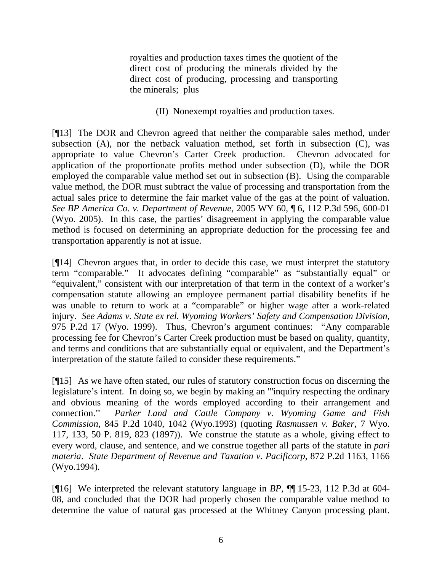royalties and production taxes times the quotient of the direct cost of producing the minerals divided by the direct cost of producing, processing and transporting the minerals; plus

(II) Nonexempt royalties and production taxes.

[¶13] The DOR and Chevron agreed that neither the comparable sales method, under subsection (A), nor the netback valuation method, set forth in subsection (C), was appropriate to value Chevron's Carter Creek production. Chevron advocated for application of the proportionate profits method under subsection (D), while the DOR employed the comparable value method set out in subsection (B). Using the comparable value method, the DOR must subtract the value of processing and transportation from the actual sales price to determine the fair market value of the gas at the point of valuation. *See BP America Co. v. Department of Revenue,* 2005 WY 60, ¶ 6, 112 P.3d 596, 600-01 (Wyo. 2005). In this case, the parties' disagreement in applying the comparable value method is focused on determining an appropriate deduction for the processing fee and transportation apparently is not at issue.

[¶14] Chevron argues that, in order to decide this case, we must interpret the statutory term "comparable." It advocates defining "comparable" as "substantially equal" or "equivalent," consistent with our interpretation of that term in the context of a worker's compensation statute allowing an employee permanent partial disability benefits if he was unable to return to work at a "comparable" or higher wage after a work-related injury. *See Adams v. State ex rel. Wyoming Workers' Safety and Compensation Division,*  975 P.2d 17 (Wyo. 1999). Thus, Chevron's argument continues: "Any comparable processing fee for Chevron's Carter Creek production must be based on quality, quantity, and terms and conditions that are substantially equal or equivalent, and the Department's interpretation of the statute failed to consider these requirements."

[¶15] As we have often stated, our rules of statutory construction focus on discerning the legislature's intent. In doing so, we begin by making an "'inquiry respecting the ordinary and obvious meaning of the words employed according to their arrangement and connection.'" *Parker Land and Cattle Company v. Wyoming Game and Fish Commission*, 845 P.2d 1040, 1042 (Wyo.1993) (quoting *Rasmussen v. Baker*, 7 Wyo. 117, 133, 50 P. 819, 823 (1897)). We construe the statute as a whole, giving effect to every word, clause, and sentence, and we construe together all parts of the statute in *pari materia*. *State Department of Revenue and Taxation v. Pacificorp*, 872 P.2d 1163, 1166 (Wyo.1994).

[¶16] We interpreted the relevant statutory language in *BP*, ¶¶ 15-23, 112 P.3d at 604- 08, and concluded that the DOR had properly chosen the comparable value method to determine the value of natural gas processed at the Whitney Canyon processing plant.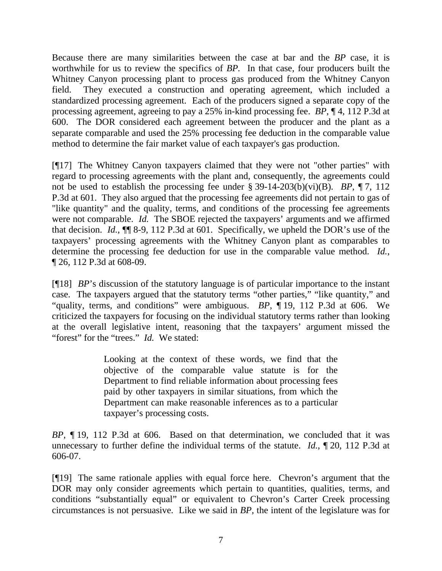Because there are many similarities between the case at bar and the *BP* case, it is worthwhile for us to review the specifics of *BP.* In that case*,* four producers built the Whitney Canyon processing plant to process gas produced from the Whitney Canyon field. They executed a construction and operating agreement, which included a standardized processing agreement. Each of the producers signed a separate copy of the processing agreement, agreeing to pay a 25% in-kind processing fee. *BP*, ¶ 4, 112 P.3d at 600. The DOR considered each agreement between the producer and the plant as a separate comparable and used the 25% processing fee deduction in the comparable value method to determine the fair market value of each taxpayer's gas production.

[¶17] The Whitney Canyon taxpayers claimed that they were not "other parties" with regard to processing agreements with the plant and, consequently, the agreements could not be used to establish the processing fee under § 39-14-203(b)(vi)(B). *BP*, ¶ 7, 112 P.3d at 601. They also argued that the processing fee agreements did not pertain to gas of "like quantity" and the quality, terms, and conditions of the processing fee agreements were not comparable. *Id.* The SBOE rejected the taxpayers' arguments and we affirmed that decision. *Id.*, ¶¶ 8-9, 112 P.3d at 601. Specifically, we upheld the DOR's use of the taxpayers' processing agreements with the Whitney Canyon plant as comparables to determine the processing fee deduction for use in the comparable value method. *Id.*, ¶ 26, 112 P.3d at 608-09.

[¶18] *BP*'s discussion of the statutory language is of particular importance to the instant case. The taxpayers argued that the statutory terms "other parties," "like quantity," and "quality, terms, and conditions" were ambiguous. *BP*, ¶ 19, 112 P.3d at 606. We criticized the taxpayers for focusing on the individual statutory terms rather than looking at the overall legislative intent, reasoning that the taxpayers' argument missed the "forest" for the "trees." *Id.* We stated:

> Looking at the context of these words, we find that the objective of the comparable value statute is for the Department to find reliable information about processing fees paid by other taxpayers in similar situations, from which the Department can make reasonable inferences as to a particular taxpayer's processing costs.

*BP*, ¶ 19, 112 P.3d at 606.Based on that determination, we concluded that it was unnecessary to further define the individual terms of the statute. *Id.*, ¶ 20, 112 P.3d at 606-07.

[¶19] The same rationale applies with equal force here. Chevron's argument that the DOR may only consider agreements which pertain to quantities, qualities, terms, and conditions "substantially equal" or equivalent to Chevron's Carter Creek processing circumstances is not persuasive. Like we said in *BP,* the intent of the legislature was for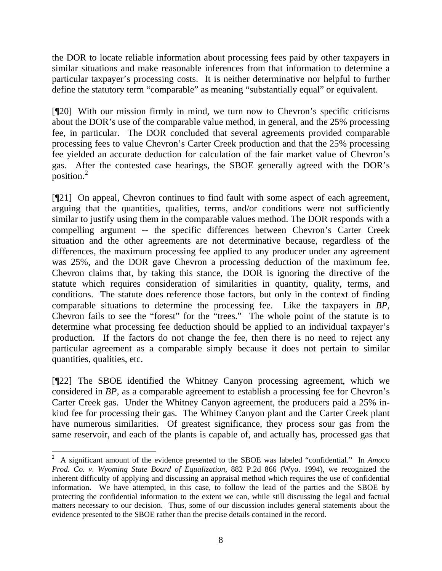the DOR to locate reliable information about processing fees paid by other taxpayers in similar situations and make reasonable inferences from that information to determine a particular taxpayer's processing costs. It is neither determinative nor helpful to further define the statutory term "comparable" as meaning "substantially equal" or equivalent.

[¶20] With our mission firmly in mind, we turn now to Chevron's specific criticisms about the DOR's use of the comparable value method, in general, and the 25% processing fee, in particular. The DOR concluded that several agreements provided comparable processing fees to value Chevron's Carter Creek production and that the 25% processing fee yielded an accurate deduction for calculation of the fair market value of Chevron's gas. After the contested case hearings, the SBOE generally agreed with the DOR's position.[2](#page-8-0)

[¶21] On appeal, Chevron continues to find fault with some aspect of each agreement, arguing that the quantities, qualities, terms, and/or conditions were not sufficiently similar to justify using them in the comparable values method. The DOR responds with a compelling argument -- the specific differences between Chevron's Carter Creek situation and the other agreements are not determinative because, regardless of the differences, the maximum processing fee applied to any producer under any agreement was 25%, and the DOR gave Chevron a processing deduction of the maximum fee. Chevron claims that, by taking this stance, the DOR is ignoring the directive of the statute which requires consideration of similarities in quantity, quality, terms, and conditions. The statute does reference those factors, but only in the context of finding comparable situations to determine the processing fee. Like the taxpayers in *BP,*  Chevron fails to see the "forest" for the "trees." The whole point of the statute is to determine what processing fee deduction should be applied to an individual taxpayer's production. If the factors do not change the fee, then there is no need to reject any particular agreement as a comparable simply because it does not pertain to similar quantities, qualities, etc.

[¶22] The SBOE identified the Whitney Canyon processing agreement, which we considered in *BP*, as a comparable agreement to establish a processing fee for Chevron's Carter Creek gas. Under the Whitney Canyon agreement, the producers paid a 25% inkind fee for processing their gas. The Whitney Canyon plant and the Carter Creek plant have numerous similarities. Of greatest significance, they process sour gas from the same reservoir, and each of the plants is capable of, and actually has, processed gas that

<span id="page-8-0"></span><sup>2</sup> A significant amount of the evidence presented to the SBOE was labeled "confidential." In *Amoco Prod. Co. v. Wyoming State Board of Equalization,* 882 P.2d 866 (Wyo. 1994), we recognized the inherent difficulty of applying and discussing an appraisal method which requires the use of confidential information. We have attempted, in this case, to follow the lead of the parties and the SBOE by protecting the confidential information to the extent we can, while still discussing the legal and factual matters necessary to our decision. Thus, some of our discussion includes general statements about the evidence presented to the SBOE rather than the precise details contained in the record.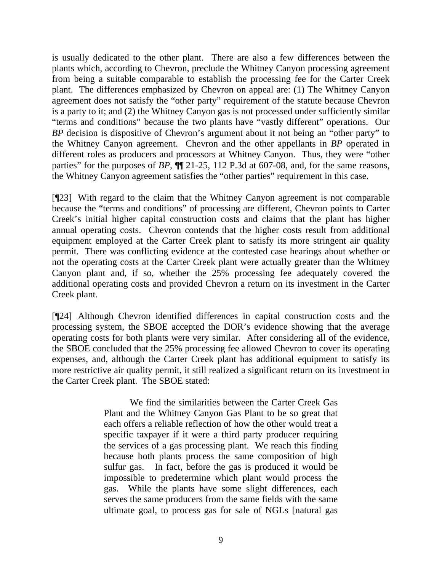is usually dedicated to the other plant. There are also a few differences between the plants which, according to Chevron, preclude the Whitney Canyon processing agreement from being a suitable comparable to establish the processing fee for the Carter Creek plant. The differences emphasized by Chevron on appeal are: (1) The Whitney Canyon agreement does not satisfy the "other party" requirement of the statute because Chevron is a party to it; and (2) the Whitney Canyon gas is not processed under sufficiently similar "terms and conditions" because the two plants have "vastly different" operations. Our *BP* decision is dispositive of Chevron's argument about it not being an "other party" to the Whitney Canyon agreement. Chevron and the other appellants in *BP* operated in different roles as producers and processors at Whitney Canyon. Thus, they were "other parties" for the purposes of *BP*,  $\P$ <sup> $\parallel$ </sup> 21-25, 112 P.3d at 607-08, and, for the same reasons, the Whitney Canyon agreement satisfies the "other parties" requirement in this case.

[¶23] With regard to the claim that the Whitney Canyon agreement is not comparable because the "terms and conditions" of processing are different, Chevron points to Carter Creek's initial higher capital construction costs and claims that the plant has higher annual operating costs. Chevron contends that the higher costs result from additional equipment employed at the Carter Creek plant to satisfy its more stringent air quality permit. There was conflicting evidence at the contested case hearings about whether or not the operating costs at the Carter Creek plant were actually greater than the Whitney Canyon plant and, if so, whether the 25% processing fee adequately covered the additional operating costs and provided Chevron a return on its investment in the Carter Creek plant.

[¶24] Although Chevron identified differences in capital construction costs and the processing system, the SBOE accepted the DOR's evidence showing that the average operating costs for both plants were very similar. After considering all of the evidence, the SBOE concluded that the 25% processing fee allowed Chevron to cover its operating expenses, and, although the Carter Creek plant has additional equipment to satisfy its more restrictive air quality permit, it still realized a significant return on its investment in the Carter Creek plant. The SBOE stated:

> We find the similarities between the Carter Creek Gas Plant and the Whitney Canyon Gas Plant to be so great that each offers a reliable reflection of how the other would treat a specific taxpayer if it were a third party producer requiring the services of a gas processing plant. We reach this finding because both plants process the same composition of high sulfur gas. In fact, before the gas is produced it would be impossible to predetermine which plant would process the gas. While the plants have some slight differences, each serves the same producers from the same fields with the same ultimate goal, to process gas for sale of NGLs [natural gas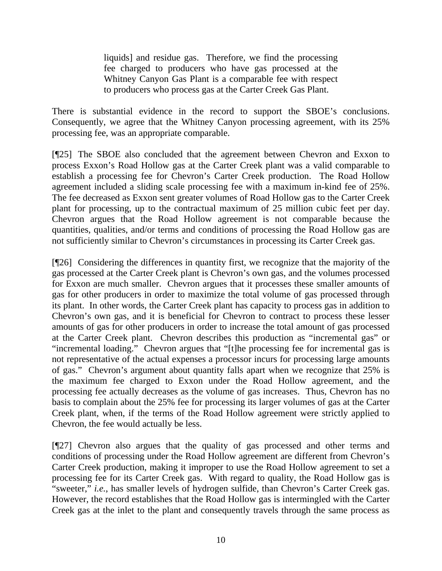liquids] and residue gas. Therefore, we find the processing fee charged to producers who have gas processed at the Whitney Canyon Gas Plant is a comparable fee with respect to producers who process gas at the Carter Creek Gas Plant.

There is substantial evidence in the record to support the SBOE's conclusions. Consequently, we agree that the Whitney Canyon processing agreement, with its 25% processing fee, was an appropriate comparable.

[¶25] The SBOE also concluded that the agreement between Chevron and Exxon to process Exxon's Road Hollow gas at the Carter Creek plant was a valid comparable to establish a processing fee for Chevron's Carter Creek production. The Road Hollow agreement included a sliding scale processing fee with a maximum in-kind fee of 25%. The fee decreased as Exxon sent greater volumes of Road Hollow gas to the Carter Creek plant for processing, up to the contractual maximum of 25 million cubic feet per day. Chevron argues that the Road Hollow agreement is not comparable because the quantities, qualities, and/or terms and conditions of processing the Road Hollow gas are not sufficiently similar to Chevron's circumstances in processing its Carter Creek gas.

[¶26] Considering the differences in quantity first, we recognize that the majority of the gas processed at the Carter Creek plant is Chevron's own gas, and the volumes processed for Exxon are much smaller. Chevron argues that it processes these smaller amounts of gas for other producers in order to maximize the total volume of gas processed through its plant. In other words, the Carter Creek plant has capacity to process gas in addition to Chevron's own gas, and it is beneficial for Chevron to contract to process these lesser amounts of gas for other producers in order to increase the total amount of gas processed at the Carter Creek plant. Chevron describes this production as "incremental gas" or "incremental loading." Chevron argues that "[t]he processing fee for incremental gas is not representative of the actual expenses a processor incurs for processing large amounts of gas." Chevron's argument about quantity falls apart when we recognize that 25% is the maximum fee charged to Exxon under the Road Hollow agreement, and the processing fee actually decreases as the volume of gas increases. Thus, Chevron has no basis to complain about the 25% fee for processing its larger volumes of gas at the Carter Creek plant, when, if the terms of the Road Hollow agreement were strictly applied to Chevron, the fee would actually be less.

[¶27] Chevron also argues that the quality of gas processed and other terms and conditions of processing under the Road Hollow agreement are different from Chevron's Carter Creek production, making it improper to use the Road Hollow agreement to set a processing fee for its Carter Creek gas. With regard to quality, the Road Hollow gas is "sweeter," *i.e.*, has smaller levels of hydrogen sulfide, than Chevron's Carter Creek gas. However, the record establishes that the Road Hollow gas is intermingled with the Carter Creek gas at the inlet to the plant and consequently travels through the same process as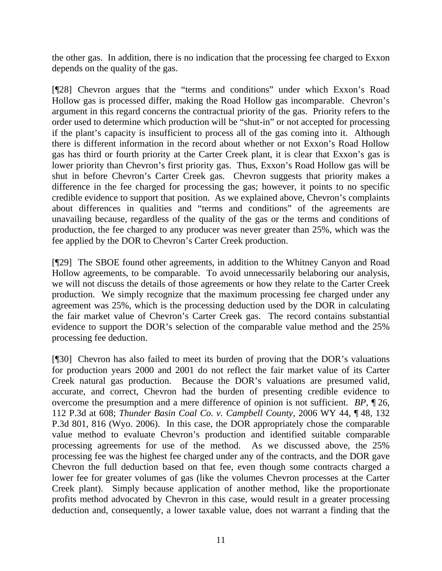the other gas. In addition, there is no indication that the processing fee charged to Exxon depends on the quality of the gas.

[¶28] Chevron argues that the "terms and conditions" under which Exxon's Road Hollow gas is processed differ, making the Road Hollow gas incomparable. Chevron's argument in this regard concerns the contractual priority of the gas. Priority refers to the order used to determine which production will be "shut-in" or not accepted for processing if the plant's capacity is insufficient to process all of the gas coming into it. Although there is different information in the record about whether or not Exxon's Road Hollow gas has third or fourth priority at the Carter Creek plant, it is clear that Exxon's gas is lower priority than Chevron's first priority gas. Thus, Exxon's Road Hollow gas will be shut in before Chevron's Carter Creek gas. Chevron suggests that priority makes a difference in the fee charged for processing the gas; however, it points to no specific credible evidence to support that position. As we explained above, Chevron's complaints about differences in qualities and "terms and conditions" of the agreements are unavailing because, regardless of the quality of the gas or the terms and conditions of production, the fee charged to any producer was never greater than 25%, which was the fee applied by the DOR to Chevron's Carter Creek production.

[¶29] The SBOE found other agreements, in addition to the Whitney Canyon and Road Hollow agreements, to be comparable. To avoid unnecessarily belaboring our analysis, we will not discuss the details of those agreements or how they relate to the Carter Creek production. We simply recognize that the maximum processing fee charged under any agreement was 25%, which is the processing deduction used by the DOR in calculating the fair market value of Chevron's Carter Creek gas. The record contains substantial evidence to support the DOR's selection of the comparable value method and the 25% processing fee deduction.

[¶30] Chevron has also failed to meet its burden of proving that the DOR's valuations for production years 2000 and 2001 do not reflect the fair market value of its Carter Creek natural gas production. Because the DOR's valuations are presumed valid, accurate, and correct, Chevron had the burden of presenting credible evidence to overcome the presumption and a mere difference of opinion is not sufficient. *BP*, ¶ 26, 112 P.3d at 608; *Thunder Basin Coal Co. v. Campbell County,* 2006 WY 44, ¶ 48, 132 P.3d 801, 816 (Wyo. 2006). In this case, the DOR appropriately chose the comparable value method to evaluate Chevron's production and identified suitable comparable processing agreements for use of the method. As we discussed above, the 25% processing fee was the highest fee charged under any of the contracts, and the DOR gave Chevron the full deduction based on that fee, even though some contracts charged a lower fee for greater volumes of gas (like the volumes Chevron processes at the Carter Creek plant). Simply because application of another method, like the proportionate profits method advocated by Chevron in this case, would result in a greater processing deduction and, consequently, a lower taxable value, does not warrant a finding that the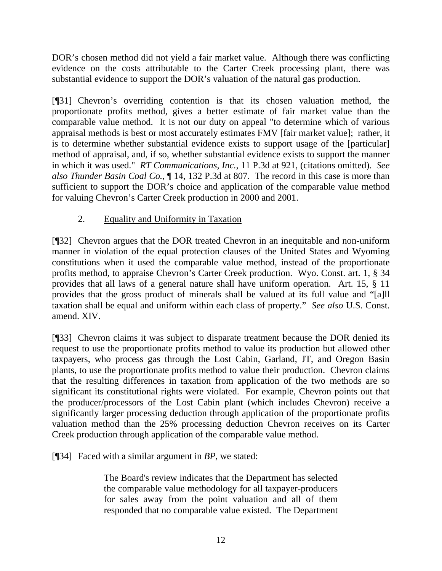DOR's chosen method did not yield a fair market value. Although there was conflicting evidence on the costs attributable to the Carter Creek processing plant, there was substantial evidence to support the DOR's valuation of the natural gas production.

[¶31] Chevron's overriding contention is that its chosen valuation method, the proportionate profits method, gives a better estimate of fair market value than the comparable value method. It is not our duty on appeal "to determine which of various appraisal methods is best or most accurately estimates FMV [fair market value]; rather, it is to determine whether substantial evidence exists to support usage of the [particular] method of appraisal, and, if so, whether substantial evidence exists to support the manner in which it was used." *RT Communications, Inc.*, 11 P.3d at 921, (citations omitted). *See also Thunder Basin Coal Co.*, ¶ 14, 132 P.3d at 807. The record in this case is more than sufficient to support the DOR's choice and application of the comparable value method for valuing Chevron's Carter Creek production in 2000 and 2001.

# 2. Equality and Uniformity in Taxation

[¶32] Chevron argues that the DOR treated Chevron in an inequitable and non-uniform manner in violation of the equal protection clauses of the United States and Wyoming constitutions when it used the comparable value method, instead of the proportionate profits method, to appraise Chevron's Carter Creek production. Wyo. Const. art. 1, § 34 provides that all laws of a general nature shall have uniform operation. Art. 15, § 11 provides that the gross product of minerals shall be valued at its full value and "[a]ll taxation shall be equal and uniform within each class of property." *See also* U.S. Const. amend. XIV.

[¶33] Chevron claims it was subject to disparate treatment because the DOR denied its request to use the proportionate profits method to value its production but allowed other taxpayers, who process gas through the Lost Cabin, Garland, JT, and Oregon Basin plants, to use the proportionate profits method to value their production. Chevron claims that the resulting differences in taxation from application of the two methods are so significant its constitutional rights were violated. For example, Chevron points out that the producer/processors of the Lost Cabin plant (which includes Chevron) receive a significantly larger processing deduction through application of the proportionate profits valuation method than the 25% processing deduction Chevron receives on its Carter Creek production through application of the comparable value method.

[¶34] Faced with a similar argument in *BP,* we stated:

The Board's review indicates that the Department has selected the comparable value methodology for all taxpayer-producers for sales away from the point valuation and all of them responded that no comparable value existed. The Department